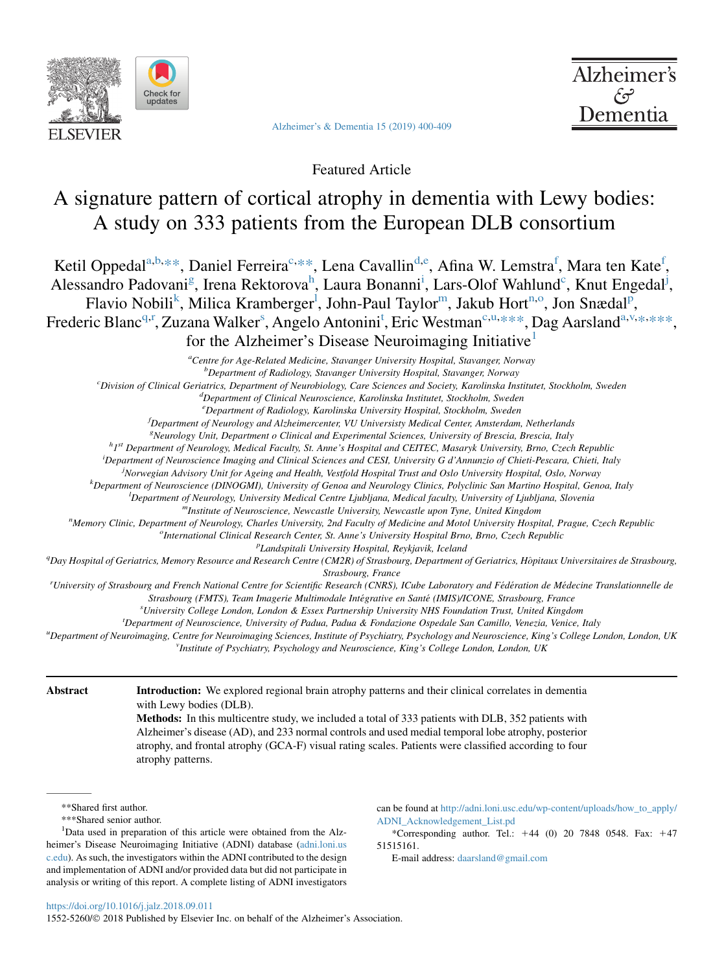

[Alzheimer's & Dementia 15 \(2019\) 400-409](https://doi.org/10.1016/j.jalz.2018.09.011)



Featured Article

# A signature pattern of cortical atrophy in dementia with Lewy bodies: A study on 333 patients from the European DLB consortium

Ketil Oppedal<sup>a,b,\*\*</sup>, Daniel Ferreira<sup>c,\*\*</sup>, Lena Cavallin<sup>d,e</sup>, Afina W. Lemstra<sup>f</sup>, Mara ten Kate<sup>f</sup>, Alessandro Padovani<sup>g</sup>, Irena Rektorova<sup>h</sup>, Laura Bonanni<sup>i</sup>, Lars-Olof Wahlund<sup>c</sup>, Knut Engedal<sup>j</sup>, Flavio Nobili<sup>k</sup>, Milica Kramberger<sup>i</sup>, John-Paul Taylor<sup>m</sup>, Jakub Hort<sup>n,o</sup>, Jon Snædal<sup>p</sup>, Frederic Blanc<sup>q,r</sup>, Zuzana Walker<sup>s</sup>, Angelo Antonini<sup>t</sup>, Eric Westman<sup>c,u,\*\*\*</sup>, Dag Aarsland<sup>a,v,\*,\*\*\*</sup>,

for the Alzheimer's Disease Neuroimaging Initiative<sup>1</sup>

a<br>
Centre for Age-Related Medicine, Stavanger University Hospital, Stavanger, Norway<br> **Conditionary of Padiology, Stavanger University Hospital, Stavanger, Norway** 

 $^{b}$ Department of Radiology, Stavanger University Hospital, Stavanger, Norway

 $^c$ Division of Clinical Geriatrics, Department of Neurobiology, Care Sciences and Society, Karolinska Institutet, Stockholm, Sweden

d Department of Clinical Neuroscience, Karolinska Institutet, Stockholm, Sweden

<sup>e</sup>Department of Radiology, Karolinska University Hospital, Stockholm, Sweden

<sup>f</sup>Department of Neurology and Alzheimercenter, VU Universisty Medical Center, Amsterdam, Netherlands

<sup>8</sup>Neurology Unit, Department o Clinical and Experimental Sciences, University of Brescia, Brescia, Italy

<sup>h</sup> I<sup>st</sup> Department of Neurology, Medical Faculty, St. Anne's Hospital and CEITEC, Masaryk University, Brno, Czech Republic<br><sup>i</sup>Department of Neurocciance Imagine and Clinical Sciences and CESL University G. d'Annunzio of

<sup>i</sup>Department of Neuroscience Imaging and Clinical Sciences and CESI, University G d'Annunzio of Chieti-Pescara, Chieti, Italy

j Norwegian Advisory Unit for Ageing and Health, Vestfold Hospital Trust and Oslo University Hospital, Oslo, Norway

k<br>Department of Neuroscience (DINOGMI), University of Genoa and Neurology Clinics, Polyclinic San Martino Hospital, Genoa, Italy<br>In an artment of Neurology, University Medical Centre Linklings, Medical feaulty, University

Department of Neurology, University Medical Centre Ljubljana, Medical faculty, University of Ljubljana, Slovenia<br>"Institute of Neuroscience, Newcastle University, Newcastle upon Tyne, United Kingdom

Memory Clinic, Department of Neurology, Charles University, 2nd Faculty of Medicine and Motol University Hospital, Prague, Czech Republic

<sup>o</sup>International Clinical Research Center, St. Anne's University Hospital Brno, Brno, Czech Republic<br>PLandepitali University Hospital Peykievik Joeland

<sup>9</sup>Landspitali University Hospital, Reykjavik, Iceland وRaytiali University Hospital, Reykjavik, Iceland<br>Pay Hospital of Geriatrics, Memory Resource and Research Centre (CM2R) of Strasbourg, Department of Geriatrics, Hôpit Strasbourg, France

<sup>r</sup>University of Strasbourg and French National Centre for Scientific Research (CNRS), ICube Laboratory and Fédération de Médecine Translationnelle de

Strasbourg (FMTS), Team Imagerie Multimodale Intégrative en Santé (IMIS)/ICONE, Strasbourg, France<br><sup>St Iniversity College London, London & Essax Partnership University NHS Foundation Trust, United Kingdo</sup>

 ${}^{s}$ University College London, London & Essex Partnership University NHS Foundation Trust, United Kingdom

<sup>t</sup> Department of Neuroscience, University of Padua, Padua & Fondazione Ospedale San Camillo, Venezia, Venice, Italy<br><sup>4</sup> Department of Neuroimaging, Centre for Neuroimaging Sciences, Institute of Peychiatry, Peychology and

"Department of Neuroimaging, Centre for Neuroimaging Sciences, Institute of Psychiatry, Psychology and Neuroscience, King's College London, London, UK <sup>v</sup>Institute of Psychiatry, Psychology and Neuroscience, King's College London, London, UK

Abstract Introduction: We explored regional brain atrophy patterns and their clinical correlates in dementia with Lewy bodies (DLB).

Methods: In this multicentre study, we included a total of 333 patients with DLB, 352 patients with Alzheimer's disease (AD), and 233 normal controls and used medial temporal lobe atrophy, posterior atrophy, and frontal atrophy (GCA-F) visual rating scales. Patients were classified according to four atrophy patterns.

\*\*Shared first author.

\*\*\*Shared senior author.

can be found at [http://adni.loni.usc.edu/wp-content/uploads/how\\_to\\_apply/](http://adni.loni.usc.edu/wp-content/uploads/how_to_apply/ADNI_Acknowledgement_List.pd) [ADNI\\_Acknowledgement\\_List.pd](http://adni.loni.usc.edu/wp-content/uploads/how_to_apply/ADNI_Acknowledgement_List.pd)

\*Corresponding author. Tel.:  $+44$  (0) 20 7848 0548. Fax:  $+47$ 51515161.

E-mail address: [daarsland@gmail.com](mailto:daarsland@gmail.com)

1552-5260/© 2018 Published by Elsevier Inc. on behalf of the Alzheimer's Association.

<sup>&</sup>lt;sup>1</sup>Data used in preparation of this article were obtained from the Alzheimer's Disease Neuroimaging Initiative (ADNI) database ([adni.loni.us](http://adni.loni.usc.edu) [c.edu\)](http://adni.loni.usc.edu). As such, the investigators within the ADNI contributed to the design and implementation of ADNI and/or provided data but did not participate in analysis or writing of this report. A complete listing of ADNI investigators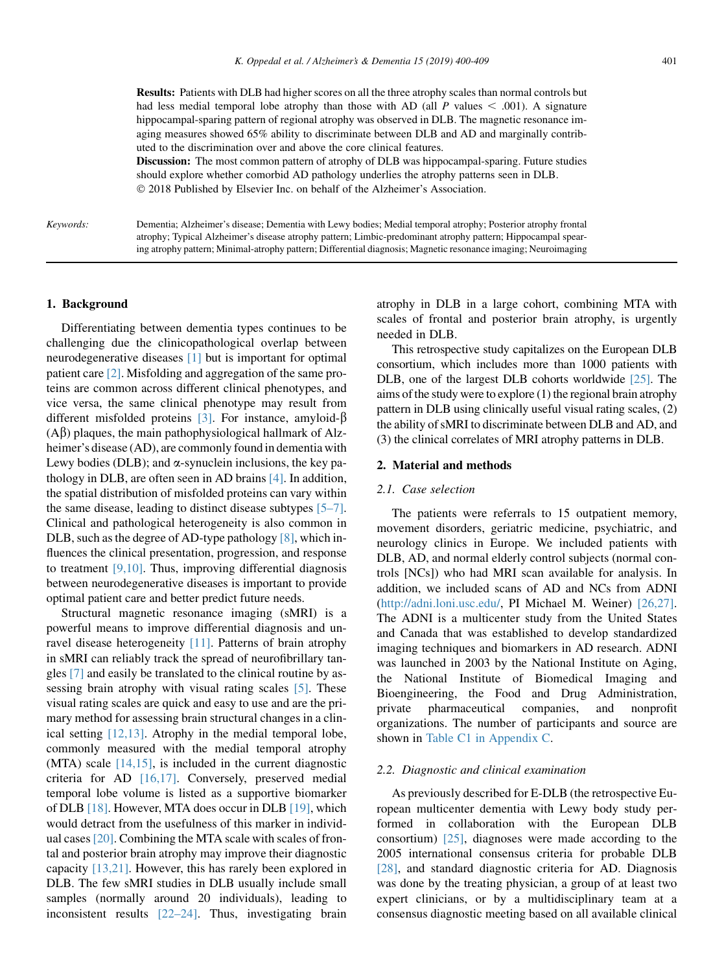Results: Patients with DLB had higher scores on all the three atrophy scales than normal controls but had less medial temporal lobe atrophy than those with AD (all P values  $\leq$  .001). A signature hippocampal-sparing pattern of regional atrophy was observed in DLB. The magnetic resonance imaging measures showed 65% ability to discriminate between DLB and AD and marginally contributed to the discrimination over and above the core clinical features.

Discussion: The most common pattern of atrophy of DLB was hippocampal-sparing. Future studies should explore whether comorbid AD pathology underlies the atrophy patterns seen in DLB. 2018 Published by Elsevier Inc. on behalf of the Alzheimer's Association.

Keywords: Dementia; Alzheimer's disease; Dementia with Lewy bodies; Medial temporal atrophy; Posterior atrophy frontal atrophy; Typical Alzheimer's disease atrophy pattern; Limbic-predominant atrophy pattern; Hippocampal spearing atrophy pattern; Minimal-atrophy pattern; Differential diagnosis; Magnetic resonance imaging; Neuroimaging

#### 1. Background

Differentiating between dementia types continues to be challenging due the clinicopathological overlap between neurodegenerative diseases [\[1\]](#page-8-0) but is important for optimal patient care [\[2\]](#page-8-0). Misfolding and aggregation of the same proteins are common across different clinical phenotypes, and vice versa, the same clinical phenotype may result from different misfolded proteins [\[3\].](#page-8-0) For instance, amyloid- $\beta$  $(A\beta)$  plaques, the main pathophysiological hallmark of Alzheimer's disease (AD), are commonly found in dementia with Lewy bodies (DLB); and  $\alpha$ -synuclein inclusions, the key pathology in DLB, are often seen in AD brains [\[4\].](#page-8-0) In addition, the spatial distribution of misfolded proteins can vary within the same disease, leading to distinct disease subtypes [\[5–7\].](#page-8-0) Clinical and pathological heterogeneity is also common in DLB, such as the degree of AD-type pathology  $[8]$ , which influences the clinical presentation, progression, and response to treatment  $[9,10]$ . Thus, improving differential diagnosis between neurodegenerative diseases is important to provide optimal patient care and better predict future needs.

Structural magnetic resonance imaging (sMRI) is a powerful means to improve differential diagnosis and unravel disease heterogeneity [\[11\].](#page-8-0) Patterns of brain atrophy in sMRI can reliably track the spread of neurofibrillary tangles [\[7\]](#page-8-0) and easily be translated to the clinical routine by as-sessing brain atrophy with visual rating scales [\[5\].](#page-8-0) These visual rating scales are quick and easy to use and are the primary method for assessing brain structural changes in a clinical setting [\[12,13\].](#page-8-0) Atrophy in the medial temporal lobe, commonly measured with the medial temporal atrophy  $(MTA)$  scale  $[14, 15]$ , is included in the current diagnostic criteria for AD [\[16,17\]](#page-8-0). Conversely, preserved medial temporal lobe volume is listed as a supportive biomarker of DLB [\[18\].](#page-9-0) However, MTA does occur in DLB [\[19\]](#page-9-0), which would detract from the usefulness of this marker in individ-ual cases [\[20\].](#page-9-0) Combining the MTA scale with scales of frontal and posterior brain atrophy may improve their diagnostic capacity [\[13,21\]](#page-8-0). However, this has rarely been explored in DLB. The few sMRI studies in DLB usually include small samples (normally around 20 individuals), leading to inconsistent results [\[22–24\]](#page-9-0). Thus, investigating brain atrophy in DLB in a large cohort, combining MTA with scales of frontal and posterior brain atrophy, is urgently needed in DLB.

This retrospective study capitalizes on the European DLB consortium, which includes more than 1000 patients with DLB, one of the largest DLB cohorts worldwide [\[25\].](#page-9-0) The aims of the study were to explore (1) the regional brain atrophy pattern in DLB using clinically useful visual rating scales, (2) the ability of sMRI to discriminate between DLB and AD, and (3) the clinical correlates of MRI atrophy patterns in DLB.

#### 2. Material and methods

# 2.1. Case selection

The patients were referrals to 15 outpatient memory, movement disorders, geriatric medicine, psychiatric, and neurology clinics in Europe. We included patients with DLB, AD, and normal elderly control subjects (normal controls [NCs]) who had MRI scan available for analysis. In addition, we included scans of AD and NCs from ADNI [\(http://adni.loni.usc.edu/](http://adni.loni.usc.edu/), PI Michael M. Weiner) [\[26,27\].](#page-9-0) The ADNI is a multicenter study from the United States and Canada that was established to develop standardized imaging techniques and biomarkers in AD research. ADNI was launched in 2003 by the National Institute on Aging, the National Institute of Biomedical Imaging and Bioengineering, the Food and Drug Administration, private pharmaceutical companies, and nonprofit organizations. The number of participants and source are shown in [Table C1 in Appendix C.](#page-9-0)

#### 2.2. Diagnostic and clinical examination

As previously described for E-DLB (the retrospective European multicenter dementia with Lewy body study performed in collaboration with the European DLB consortium)  $[25]$ , diagnoses were made according to the 2005 international consensus criteria for probable DLB [\[28\],](#page-9-0) and standard diagnostic criteria for AD. Diagnosis was done by the treating physician, a group of at least two expert clinicians, or by a multidisciplinary team at a consensus diagnostic meeting based on all available clinical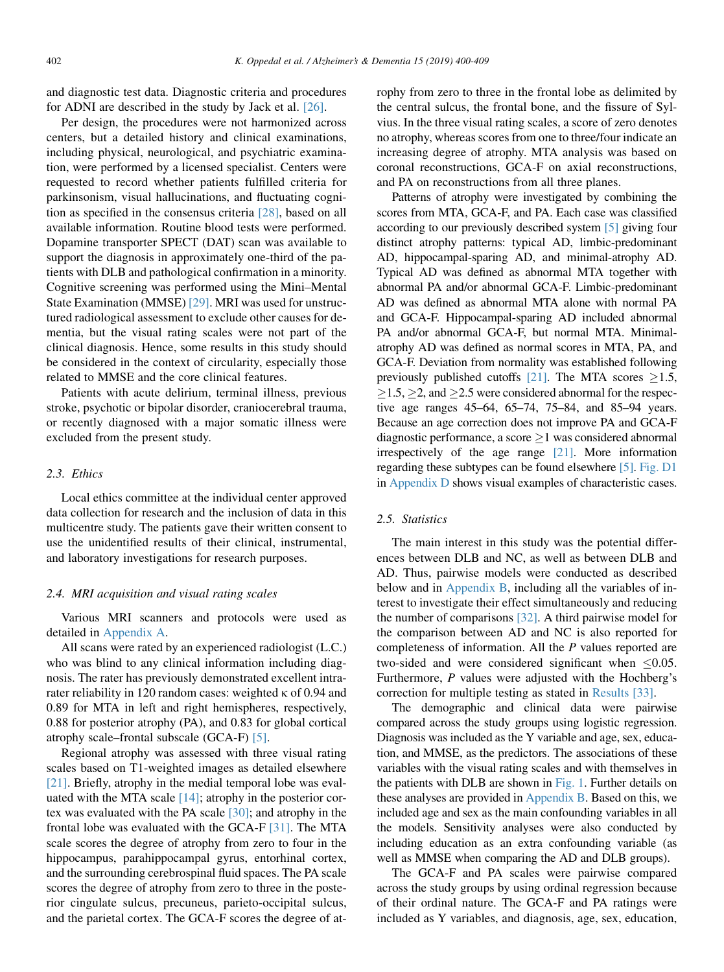and diagnostic test data. Diagnostic criteria and procedures for ADNI are described in the study by Jack et al. [\[26\].](#page-9-0)

Per design, the procedures were not harmonized across centers, but a detailed history and clinical examinations, including physical, neurological, and psychiatric examination, were performed by a licensed specialist. Centers were requested to record whether patients fulfilled criteria for parkinsonism, visual hallucinations, and fluctuating cognition as specified in the consensus criteria [\[28\]](#page-9-0), based on all available information. Routine blood tests were performed. Dopamine transporter SPECT (DAT) scan was available to support the diagnosis in approximately one-third of the patients with DLB and pathological confirmation in a minority. Cognitive screening was performed using the Mini–Mental State Examination (MMSE) [\[29\].](#page-9-0) MRI was used for unstructured radiological assessment to exclude other causes for dementia, but the visual rating scales were not part of the clinical diagnosis. Hence, some results in this study should be considered in the context of circularity, especially those related to MMSE and the core clinical features.

Patients with acute delirium, terminal illness, previous stroke, psychotic or bipolar disorder, craniocerebral trauma, or recently diagnosed with a major somatic illness were excluded from the present study.

# 2.3. Ethics

Local ethics committee at the individual center approved data collection for research and the inclusion of data in this multicentre study. The patients gave their written consent to use the unidentified results of their clinical, instrumental, and laboratory investigations for research purposes.

## 2.4. MRI acquisition and visual rating scales

Various MRI scanners and protocols were used as detailed in [Appendix A.](#page-9-0)

All scans were rated by an experienced radiologist (L.C.) who was blind to any clinical information including diagnosis. The rater has previously demonstrated excellent intrarater reliability in 120 random cases: weighted  $\kappa$  of 0.94 and 0.89 for MTA in left and right hemispheres, respectively, 0.88 for posterior atrophy (PA), and 0.83 for global cortical atrophy scale–frontal subscale (GCA-F) [\[5\]](#page-8-0).

Regional atrophy was assessed with three visual rating scales based on T1-weighted images as detailed elsewhere [\[21\].](#page-9-0) Briefly, atrophy in the medial temporal lobe was evaluated with the MTA scale  $[14]$ ; atrophy in the posterior cortex was evaluated with the PA scale [\[30\]](#page-9-0); and atrophy in the frontal lobe was evaluated with the GCA-F [\[31\].](#page-9-0) The MTA scale scores the degree of atrophy from zero to four in the hippocampus, parahippocampal gyrus, entorhinal cortex, and the surrounding cerebrospinal fluid spaces. The PA scale scores the degree of atrophy from zero to three in the posterior cingulate sulcus, precuneus, parieto-occipital sulcus, and the parietal cortex. The GCA-F scores the degree of atrophy from zero to three in the frontal lobe as delimited by the central sulcus, the frontal bone, and the fissure of Sylvius. In the three visual rating scales, a score of zero denotes no atrophy, whereas scores from one to three/four indicate an increasing degree of atrophy. MTA analysis was based on coronal reconstructions, GCA-F on axial reconstructions, and PA on reconstructions from all three planes.

Patterns of atrophy were investigated by combining the scores from MTA, GCA-F, and PA. Each case was classified according to our previously described system [\[5\]](#page-8-0) giving four distinct atrophy patterns: typical AD, limbic-predominant AD, hippocampal-sparing AD, and minimal-atrophy AD. Typical AD was defined as abnormal MTA together with abnormal PA and/or abnormal GCA-F. Limbic-predominant AD was defined as abnormal MTA alone with normal PA and GCA-F. Hippocampal-sparing AD included abnormal PA and/or abnormal GCA-F, but normal MTA. Minimalatrophy AD was defined as normal scores in MTA, PA, and GCA-F. Deviation from normality was established following previously published cutoffs [\[21\]](#page-9-0). The MTA scores  $\geq$ 1.5,  $\geq$ 1.5,  $\geq$ 2, and  $\geq$ 2.5 were considered abnormal for the respective age ranges 45–64, 65–74, 75–84, and 85–94 years. Because an age correction does not improve PA and GCA-F diagnostic performance, a score  $\geq 1$  was considered abnormal irrespectively of the age range [\[21\]](#page-9-0). More information regarding these subtypes can be found elsewhere [\[5\]](#page-8-0). [Fig. D1](#page-9-0) in [Appendix D](#page-9-0) shows visual examples of characteristic cases.

## 2.5. Statistics

The main interest in this study was the potential differences between DLB and NC, as well as between DLB and AD. Thus, pairwise models were conducted as described below and in [Appendix B,](#page-9-0) including all the variables of interest to investigate their effect simultaneously and reducing the number of comparisons [\[32\].](#page-9-0) A third pairwise model for the comparison between AD and NC is also reported for completeness of information. All the P values reported are two-sided and were considered significant when  $\leq 0.05$ . Furthermore, P values were adjusted with the Hochberg's correction for multiple testing as stated in [Results](#page-3-0) [\[33\]](#page-9-0).

The demographic and clinical data were pairwise compared across the study groups using logistic regression. Diagnosis was included as the Y variable and age, sex, education, and MMSE, as the predictors. The associations of these variables with the visual rating scales and with themselves in the patients with DLB are shown in [Fig. 1.](#page-3-0) Further details on these analyses are provided in [Appendix B.](#page-9-0) Based on this, we included age and sex as the main confounding variables in all the models. Sensitivity analyses were also conducted by including education as an extra confounding variable (as well as MMSE when comparing the AD and DLB groups).

The GCA-F and PA scales were pairwise compared across the study groups by using ordinal regression because of their ordinal nature. The GCA-F and PA ratings were included as Y variables, and diagnosis, age, sex, education,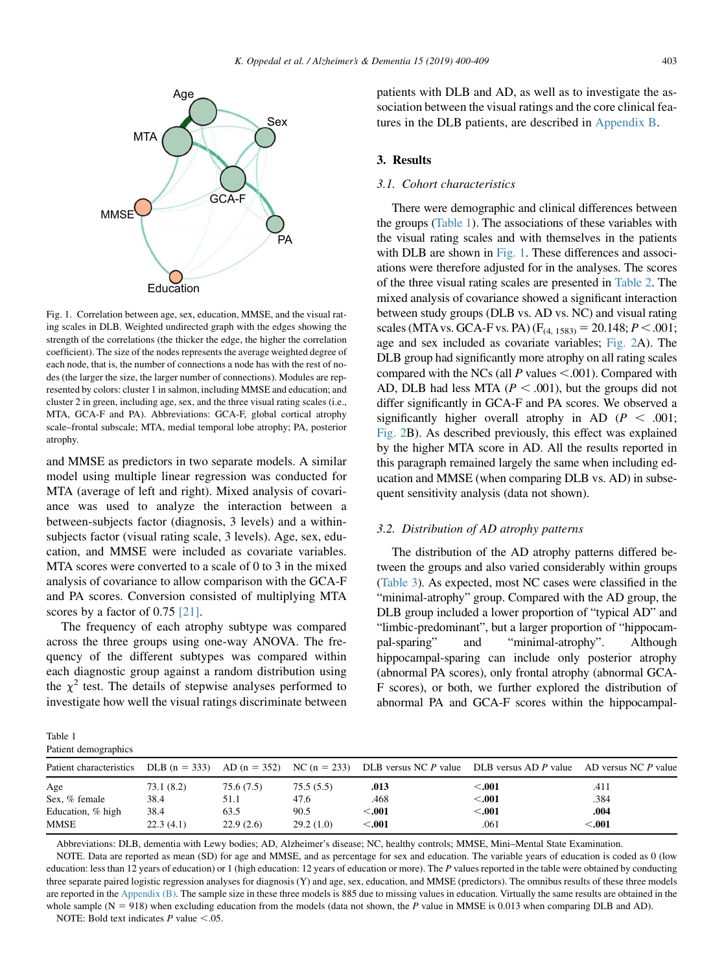<span id="page-3-0"></span>

Fig. 1. Correlation between age, sex, education, MMSE, and the visual rating scales in DLB. Weighted undirected graph with the edges showing the strength of the correlations (the thicker the edge, the higher the correlation coefficient). The size of the nodes represents the average weighted degree of each node, that is, the number of connections a node has with the rest of nodes (the larger the size, the larger number of connections). Modules are represented by colors: cluster 1 in salmon, including MMSE and education; and cluster 2 in green, including age, sex, and the three visual rating scales (i.e., MTA, GCA-F and PA). Abbreviations: GCA-F, global cortical atrophy scale–frontal subscale; MTA, medial temporal lobe atrophy; PA, posterior atrophy.

and MMSE as predictors in two separate models. A similar model using multiple linear regression was conducted for MTA (average of left and right). Mixed analysis of covariance was used to analyze the interaction between a between-subjects factor (diagnosis, 3 levels) and a withinsubjects factor (visual rating scale, 3 levels). Age, sex, education, and MMSE were included as covariate variables. MTA scores were converted to a scale of 0 to 3 in the mixed analysis of covariance to allow comparison with the GCA-F and PA scores. Conversion consisted of multiplying MTA scores by a factor of 0.75 [\[21\].](#page-9-0)

The frequency of each atrophy subtype was compared across the three groups using one-way ANOVA. The frequency of the different subtypes was compared within each diagnostic group against a random distribution using the  $\chi^2$  test. The details of stepwise analyses performed to investigate how well the visual ratings discriminate between patients with DLB and AD, as well as to investigate the association between the visual ratings and the core clinical features in the DLB patients, are described in [Appendix B.](#page-9-0)

#### 3. Results

# 3.1. Cohort characteristics

There were demographic and clinical differences between the groups (Table 1). The associations of these variables with the visual rating scales and with themselves in the patients with DLB are shown in Fig. 1. These differences and associations were therefore adjusted for in the analyses. The scores of the three visual rating scales are presented in [Table 2.](#page-4-0) The mixed analysis of covariance showed a significant interaction between study groups (DLB vs. AD vs. NC) and visual rating scales (MTA vs. GCA-F vs. PA)  $(F_{(4, 1583)} = 20.148; P < .001;$ age and sex included as covariate variables; [Fig. 2](#page-5-0)A). The DLB group had significantly more atrophy on all rating scales compared with the NCs (all  $P$  values <.001). Compared with AD, DLB had less MTA ( $P < .001$ ), but the groups did not differ significantly in GCA-F and PA scores. We observed a significantly higher overall atrophy in AD ( $P < .001$ ; [Fig. 2B](#page-5-0)). As described previously, this effect was explained by the higher MTA score in AD. All the results reported in this paragraph remained largely the same when including education and MMSE (when comparing DLB vs. AD) in subsequent sensitivity analysis (data not shown).

#### 3.2. Distribution of AD atrophy patterns

The distribution of the AD atrophy patterns differed between the groups and also varied considerably within groups [\(Table 3](#page-5-0)). As expected, most NC cases were classified in the "minimal-atrophy" group. Compared with the AD group, the DLB group included a lower proportion of "typical AD" and "limbic-predominant", but a larger proportion of "hippocampal-sparing" and "minimal-atrophy". Although hippocampal-sparing can include only posterior atrophy (abnormal PA scores), only frontal atrophy (abnormal GCA-F scores), or both, we further explored the distribution of abnormal PA and GCA-F scores within the hippocampal-

| Table 1              |
|----------------------|
| Patient demographics |

|                   |           |            |           | Patient characteristics DLB $(n = 333)$ AD $(n = 352)$ NC $(n = 233)$ DLB versus NC P value DLB versus AD P value AD versus NC P value |               |        |
|-------------------|-----------|------------|-----------|----------------------------------------------------------------------------------------------------------------------------------------|---------------|--------|
| Age               | 73.1(8.2) | 75.6 (7.5) | 75.5(5.5) | .013                                                                                                                                   | $<$ .001      | .411   |
| Sex, % female     | 38.4      | 51.1       | 47.6      | .468                                                                                                                                   | < .001        | .384   |
| Education, % high | 38.4      | 63.5       | 90.5      | $<$ .001                                                                                                                               | $<$ .001 $\,$ | .004   |
| MMSE              | 22.3(4.1) | 22.9(2.6)  | 29.2(1.0) | < .001                                                                                                                                 | .061          | $.001$ |
|                   |           |            |           |                                                                                                                                        |               |        |

Abbreviations: DLB, dementia with Lewy bodies; AD, Alzheimer's disease; NC, healthy controls; MMSE, Mini–Mental State Examination.

NOTE. Data are reported as mean (SD) for age and MMSE, and as percentage for sex and education. The variable years of education is coded as 0 (low education: less than 12 years of education) or 1 (high education: 12 years of education or more). The  $P$  values reported in the table were obtained by conducting three separate paired logistic regression analyses for diagnosis (Y) and age, sex, education, and MMSE (predictors). The omnibus results of these three models are reported in the [Appendix \(B\)](#page-9-0). The sample size in these three models is 885 due to missing values in education. Virtually the same results are obtained in the whole sample  $(N = 918)$  when excluding education from the models (data not shown, the P value in MMSE is 0.013 when comparing DLB and AD).

NOTE: Bold text indicates  $P$  value <.05.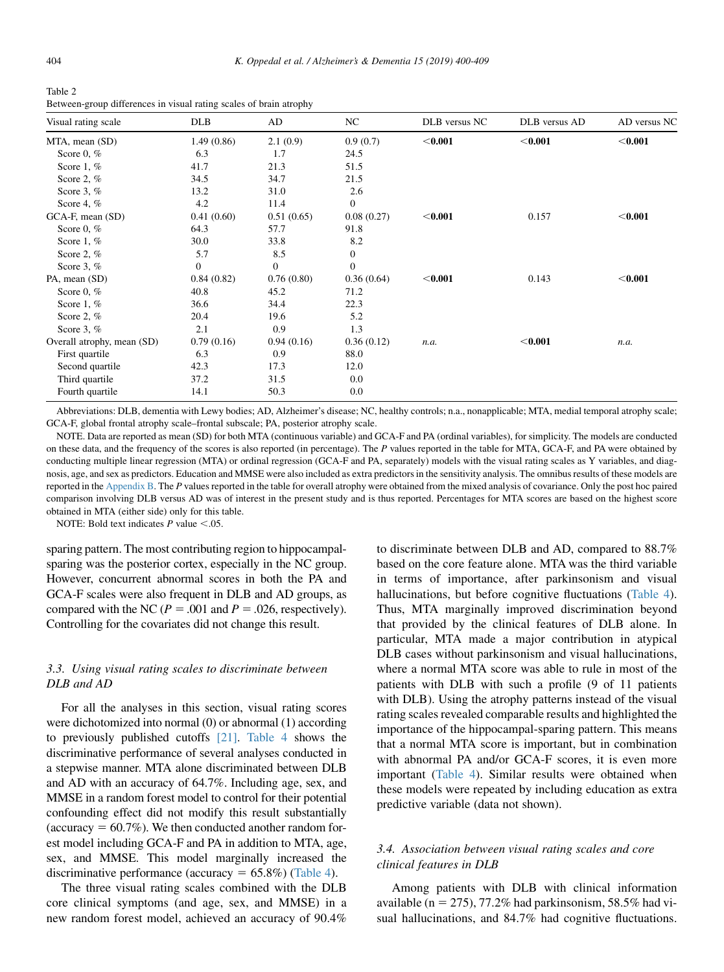<span id="page-4-0"></span>Table 2 Between-group differences in visual rating scales of brain atrophy

| Visual rating scale        | <b>DLB</b>   | AD             | NC               | DLB versus NC | DLB versus AD | AD versus NC |
|----------------------------|--------------|----------------|------------------|---------------|---------------|--------------|
| MTA, mean (SD)             | 1.49(0.86)   | 2.1(0.9)       | 0.9(0.7)         | < 0.001       | < 0.001       | < 0.001      |
| Score $0, \%$              | 6.3          | 1.7            | 24.5             |               |               |              |
| Score $1, \%$              | 41.7         | 21.3           | 51.5             |               |               |              |
| Score 2, $%$               | 34.5         | 34.7           | 21.5             |               |               |              |
| Score 3, $%$               | 13.2         | 31.0           | 2.6              |               |               |              |
| Score 4, $%$               | 4.2          | 11.4           | $\boldsymbol{0}$ |               |               |              |
| GCA-F, mean (SD)           | 0.41(0.60)   | 0.51(0.65)     | 0.08(0.27)       | < 0.001       | 0.157         | < 0.001      |
| Score $0, \%$              | 64.3         | 57.7           | 91.8             |               |               |              |
| Score 1, $%$               | 30.0         | 33.8           | 8.2              |               |               |              |
| Score 2, $%$               | 5.7          | 8.5            | $\boldsymbol{0}$ |               |               |              |
| Score 3, $%$               | $\mathbf{0}$ | $\overline{0}$ | $\mathbf{0}$     |               |               |              |
| PA, mean (SD)              | 0.84(0.82)   | 0.76(0.80)     | 0.36(0.64)       | < 0.001       | 0.143         | $<$ 0.001    |
| Score $0, \%$              | 40.8         | 45.2           | 71.2             |               |               |              |
| Score 1, $%$               | 36.6         | 34.4           | 22.3             |               |               |              |
| Score 2, $%$               | 20.4         | 19.6           | 5.2              |               |               |              |
| Score 3, $%$               | 2.1          | 0.9            | 1.3              |               |               |              |
| Overall atrophy, mean (SD) | 0.79(0.16)   | 0.94(0.16)     | 0.36(0.12)       | n.a.          | < 0.001       | n.a.         |
| First quartile             | 6.3          | 0.9            | 88.0             |               |               |              |
| Second quartile            | 42.3         | 17.3           | 12.0             |               |               |              |
| Third quartile             | 37.2         | 31.5           | 0.0              |               |               |              |
| Fourth quartile            | 14.1         | 50.3           | 0.0              |               |               |              |

Abbreviations: DLB, dementia with Lewy bodies; AD, Alzheimer's disease; NC, healthy controls; n.a., nonapplicable; MTA, medial temporal atrophy scale; GCA-F, global frontal atrophy scale–frontal subscale; PA, posterior atrophy scale.

NOTE. Data are reported as mean (SD) for both MTA (continuous variable) and GCA-F and PA (ordinal variables), for simplicity. The models are conducted on these data, and the frequency of the scores is also reported (in percentage). The P values reported in the table for MTA, GCA-F, and PA were obtained by conducting multiple linear regression (MTA) or ordinal regression (GCA-F and PA, separately) models with the visual rating scales as Y variables, and diagnosis, age, and sex as predictors. Education and MMSE were also included as extra predictors in the sensitivity analysis. The omnibus results of these models are reported in the [Appendix B](#page-9-0). The P values reported in the table for overall atrophy were obtained from the mixed analysis of covariance. Only the post hoc paired comparison involving DLB versus AD was of interest in the present study and is thus reported. Percentages for MTA scores are based on the highest score obtained in MTA (either side) only for this table.

NOTE: Bold text indicates  $P$  value <.05.

sparing pattern. The most contributing region to hippocampalsparing was the posterior cortex, especially in the NC group. However, concurrent abnormal scores in both the PA and GCA-F scales were also frequent in DLB and AD groups, as compared with the NC ( $P = .001$  and  $P = .026$ , respectively). Controlling for the covariates did not change this result.

# 3.3. Using visual rating scales to discriminate between DLB and AD

For all the analyses in this section, visual rating scores were dichotomized into normal (0) or abnormal (1) according to previously published cutoffs [\[21\].](#page-9-0) [Table 4](#page-6-0) shows the discriminative performance of several analyses conducted in a stepwise manner. MTA alone discriminated between DLB and AD with an accuracy of 64.7%. Including age, sex, and MMSE in a random forest model to control for their potential confounding effect did not modify this result substantially (accuracy  $= 60.7\%$ ). We then conducted another random forest model including GCA-F and PA in addition to MTA, age, sex, and MMSE. This model marginally increased the discriminative performance (accuracy =  $65.8\%$ ) [\(Table 4\)](#page-6-0).

The three visual rating scales combined with the DLB core clinical symptoms (and age, sex, and MMSE) in a new random forest model, achieved an accuracy of 90.4% to discriminate between DLB and AD, compared to 88.7% based on the core feature alone. MTA was the third variable in terms of importance, after parkinsonism and visual hallucinations, but before cognitive fluctuations [\(Table 4](#page-6-0)). Thus, MTA marginally improved discrimination beyond that provided by the clinical features of DLB alone. In particular, MTA made a major contribution in atypical DLB cases without parkinsonism and visual hallucinations, where a normal MTA score was able to rule in most of the patients with DLB with such a profile (9 of 11 patients with DLB). Using the atrophy patterns instead of the visual rating scales revealed comparable results and highlighted the importance of the hippocampal-sparing pattern. This means that a normal MTA score is important, but in combination with abnormal PA and/or GCA-F scores, it is even more important ([Table 4\)](#page-6-0). Similar results were obtained when these models were repeated by including education as extra predictive variable (data not shown).

# 3.4. Association between visual rating scales and core clinical features in DLB

Among patients with DLB with clinical information available ( $n = 275$ ), 77.2% had parkinsonism, 58.5% had visual hallucinations, and 84.7% had cognitive fluctuations.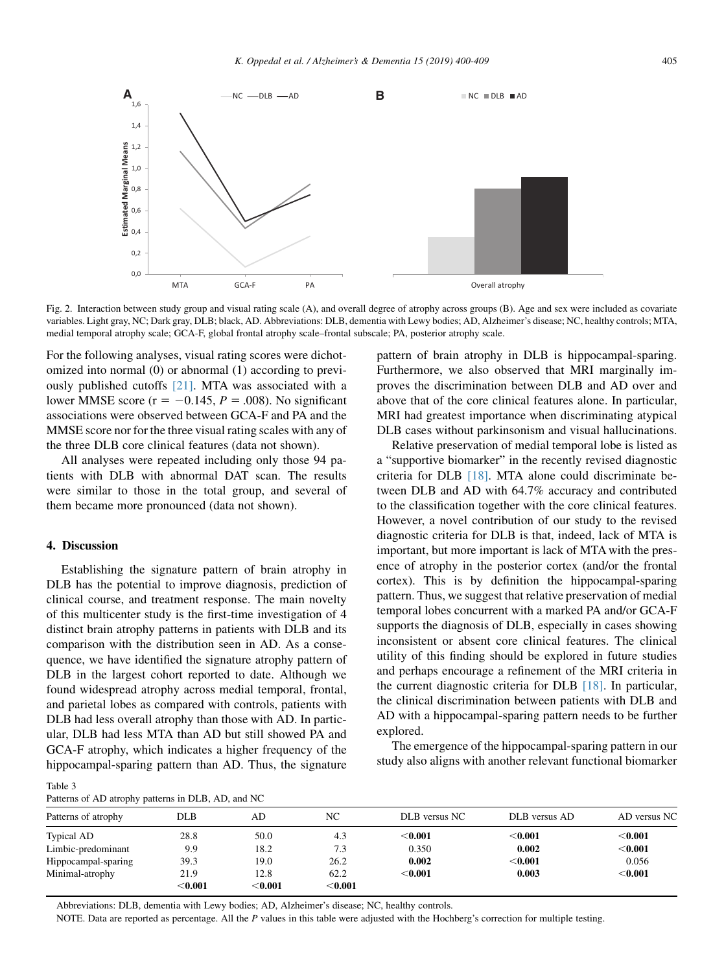<span id="page-5-0"></span>

Fig. 2. Interaction between study group and visual rating scale (A), and overall degree of atrophy across groups (B). Age and sex were included as covariate variables. Light gray, NC; Dark gray, DLB; black, AD. Abbreviations: DLB, dementia with Lewy bodies; AD, Alzheimer's disease; NC, healthy controls; MTA, medial temporal atrophy scale; GCA-F, global frontal atrophy scale–frontal subscale; PA, posterior atrophy scale.

For the following analyses, visual rating scores were dichotomized into normal (0) or abnormal (1) according to previously published cutoffs [\[21\].](#page-9-0) MTA was associated with a lower MMSE score ( $r = -0.145$ ,  $P = .008$ ). No significant associations were observed between GCA-F and PA and the MMSE score nor for the three visual rating scales with any of the three DLB core clinical features (data not shown).

All analyses were repeated including only those 94 patients with DLB with abnormal DAT scan. The results were similar to those in the total group, and several of them became more pronounced (data not shown).

## 4. Discussion

Establishing the signature pattern of brain atrophy in DLB has the potential to improve diagnosis, prediction of clinical course, and treatment response. The main novelty of this multicenter study is the first-time investigation of 4 distinct brain atrophy patterns in patients with DLB and its comparison with the distribution seen in AD. As a consequence, we have identified the signature atrophy pattern of DLB in the largest cohort reported to date. Although we found widespread atrophy across medial temporal, frontal, and parietal lobes as compared with controls, patients with DLB had less overall atrophy than those with AD. In particular, DLB had less MTA than AD but still showed PA and GCA-F atrophy, which indicates a higher frequency of the hippocampal-sparing pattern than AD. Thus, the signature pattern of brain atrophy in DLB is hippocampal-sparing. Furthermore, we also observed that MRI marginally improves the discrimination between DLB and AD over and above that of the core clinical features alone. In particular, MRI had greatest importance when discriminating atypical DLB cases without parkinsonism and visual hallucinations.

Relative preservation of medial temporal lobe is listed as a "supportive biomarker" in the recently revised diagnostic criteria for DLB [\[18\].](#page-9-0) MTA alone could discriminate between DLB and AD with 64.7% accuracy and contributed to the classification together with the core clinical features. However, a novel contribution of our study to the revised diagnostic criteria for DLB is that, indeed, lack of MTA is important, but more important is lack of MTA with the presence of atrophy in the posterior cortex (and/or the frontal cortex). This is by definition the hippocampal-sparing pattern. Thus, we suggest that relative preservation of medial temporal lobes concurrent with a marked PA and/or GCA-F supports the diagnosis of DLB, especially in cases showing inconsistent or absent core clinical features. The clinical utility of this finding should be explored in future studies and perhaps encourage a refinement of the MRI criteria in the current diagnostic criteria for DLB [\[18\]](#page-9-0). In particular, the clinical discrimination between patients with DLB and AD with a hippocampal-sparing pattern needs to be further explored.

The emergence of the hippocampal-sparing pattern in our study also aligns with another relevant functional biomarker

| Table 3 |                                                    |  |
|---------|----------------------------------------------------|--|
|         | Patterns of AD atrophy patterns in DLB, AD, and NC |  |

| Patterns of atrophy | DLB                    | AD                     | NC.                    | DLB versus NC  | DLB versus AD | AD versus NC   |
|---------------------|------------------------|------------------------|------------------------|----------------|---------------|----------------|
| Typical AD          | 28.8                   | 50.0                   | 4.3                    | $<$ 0.001 $\,$ | $<$ 0.001     | $<$ 0.001 $\,$ |
| Limbic-predominant  | 9.9                    | 18.2                   | 7.3                    | 0.350          | 0.002         | < 0.001        |
| Hippocampal-sparing | 39.3                   | 19.0                   | 26.2                   | 0.002          | $<$ 0.001     | 0.056          |
| Minimal-atrophy     | 21.9<br>$<$ 0.001 $\,$ | 12.8<br>$<$ 0.001 $\,$ | 62.2<br>$<$ 0.001 $\,$ | $<$ 0.001 $\,$ | 0.003         | < 0.001        |
|                     |                        |                        |                        |                |               |                |

Abbreviations: DLB, dementia with Lewy bodies; AD, Alzheimer's disease; NC, healthy controls.

NOTE. Data are reported as percentage. All the P values in this table were adjusted with the Hochberg's correction for multiple testing.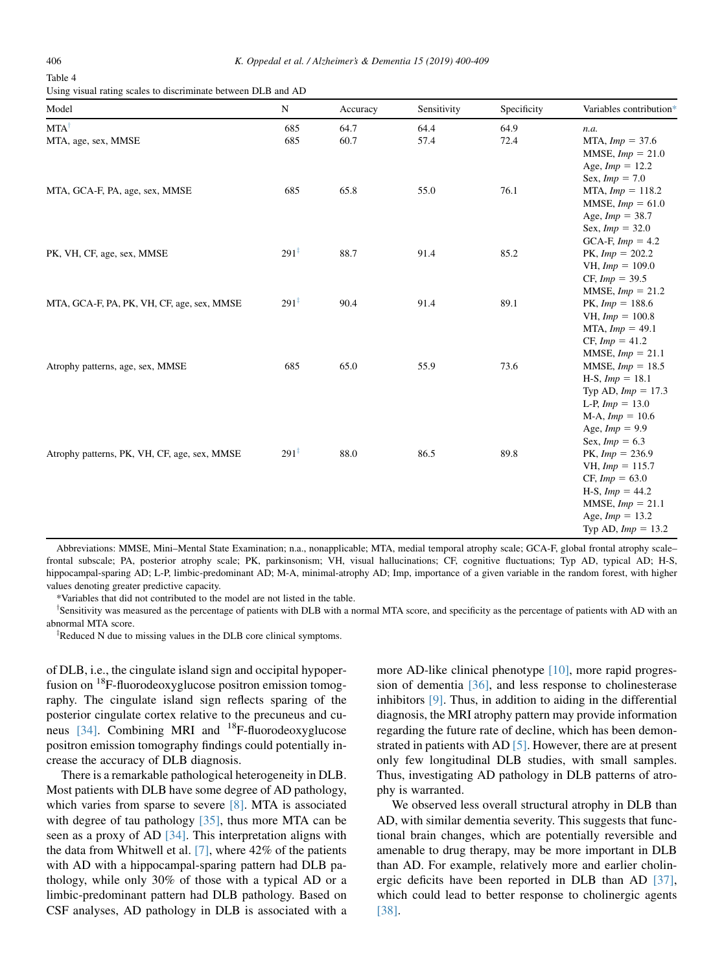#### <span id="page-6-0"></span>Table 4

Using visual rating scales to discriminate between DLB and AD

| Model                                        | ${\bf N}$           | Accuracy | Sensitivity | Specificity | Variables contribution*               |
|----------------------------------------------|---------------------|----------|-------------|-------------|---------------------------------------|
| $MTA^{\dagger}$                              | 685                 | 64.7     | 64.4        | 64.9        | n.a.                                  |
| MTA, age, sex, MMSE                          | 685                 | 60.7     | 57.4        | 72.4        | MTA, $Imp = 37.6$                     |
|                                              |                     |          |             |             | MMSE, $Imp = 21.0$                    |
|                                              |                     |          |             |             | Age, $Imp = 12.2$<br>Sex, $Imp = 7.0$ |
| MTA, GCA-F, PA, age, sex, MMSE               | 685                 | 65.8     | 55.0        | 76.1        | $MTA, Imp = 118.2$                    |
|                                              |                     |          |             |             | MMSE, $Imp = 61.0$                    |
|                                              |                     |          |             |             | Age, $Imp = 38.7$                     |
|                                              |                     |          |             |             | Sex, $Imp = 32.0$                     |
|                                              |                     |          |             |             | GCA-F, $Imp = 4.2$                    |
| PK, VH, CF, age, sex, MMSE                   | $291^{\ddagger}$    | 88.7     | 91.4        | 85.2        | $PK, Imp = 202.2$                     |
|                                              |                     |          |             |             | $VH, Imp = 109.0$                     |
|                                              |                     |          |             |             | $CF, Imp = 39.5$                      |
|                                              |                     |          |             |             | MMSE, $Imp = 21.2$                    |
| MTA, GCA-F, PA, PK, VH, CF, age, sex, MMSE   | $291^{\frac{1}{2}}$ | 90.4     | 91.4        | 89.1        | $PK, Imp = 188.6$                     |
|                                              |                     |          |             |             | $VH, Imp = 100.8$                     |
|                                              |                     |          |             |             | MTA, $Imp = 49.1$<br>$CF, Imp = 41.2$ |
|                                              |                     |          |             |             | MMSE, $Imp = 21.1$                    |
| Atrophy patterns, age, sex, MMSE             | 685                 | 65.0     | 55.9        | 73.6        | MMSE, $Imp = 18.5$                    |
|                                              |                     |          |             |             | $H-S$ , $Imp = 18.1$                  |
|                                              |                     |          |             |             | Typ AD, $Imp = 17.3$                  |
|                                              |                     |          |             |             | L-P, $Imp = 13.0$                     |
|                                              |                     |          |             |             | $M-A, Imp = 10.6$                     |
|                                              |                     |          |             |             | Age, $Imp = 9.9$                      |
|                                              |                     |          |             |             | Sex, $Imp = 6.3$                      |
| Atrophy patterns, PK, VH, CF, age, sex, MMSE | $291^{\frac{1}{2}}$ | 88.0     | 86.5        | 89.8        | $PK, Imp = 236.9$                     |
|                                              |                     |          |             |             | $VH$ , $Imp = 115.7$                  |
|                                              |                     |          |             |             | $CF, Imp = 63.0$                      |
|                                              |                     |          |             |             | $H-S$ , $Imp = 44.2$                  |
|                                              |                     |          |             |             | MMSE, $Imp = 21.1$                    |
|                                              |                     |          |             |             | Age, $Imp = 13.2$                     |
|                                              |                     |          |             |             | Typ AD, $Imp = 13.2$                  |

Abbreviations: MMSE, Mini–Mental State Examination; n.a., nonapplicable; MTA, medial temporal atrophy scale; GCA-F, global frontal atrophy scale– frontal subscale; PA, posterior atrophy scale; PK, parkinsonism; VH, visual hallucinations; CF, cognitive fluctuations; Typ AD, typical AD; H-S, hippocampal-sparing AD; L-P, limbic-predominant AD; M-A, minimal-atrophy AD; Imp, importance of a given variable in the random forest, with higher values denoting greater predictive capacity.

\*Variables that did not contributed to the model are not listed in the table.

<sup>7</sup>Sensitivity was measured as the percentage of patients with DLB with a normal MTA score, and specificity as the percentage of patients with AD with an abnormal MTA score.

<sup>‡</sup>Reduced N due to missing values in the DLB core clinical symptoms.

of DLB, i.e., the cingulate island sign and occipital hypoperfusion on <sup>18</sup>F-fluorodeoxyglucose positron emission tomography. The cingulate island sign reflects sparing of the posterior cingulate cortex relative to the precuneus and cuneus  $[34]$ . Combining MRI and <sup>18</sup>F-fluorodeoxyglucose positron emission tomography findings could potentially increase the accuracy of DLB diagnosis.

There is a remarkable pathological heterogeneity in DLB. Most patients with DLB have some degree of AD pathology, which varies from sparse to severe  $[8]$ . MTA is associated with degree of tau pathology [\[35\]](#page-9-0), thus more MTA can be seen as a proxy of AD [\[34\]](#page-9-0). This interpretation aligns with the data from Whitwell et al. [\[7\],](#page-8-0) where 42% of the patients with AD with a hippocampal-sparing pattern had DLB pathology, while only 30% of those with a typical AD or a limbic-predominant pattern had DLB pathology. Based on CSF analyses, AD pathology in DLB is associated with a more AD-like clinical phenotype [\[10\]](#page-8-0), more rapid progression of dementia [\[36\]](#page-9-0), and less response to cholinesterase inhibitors [\[9\].](#page-8-0) Thus, in addition to aiding in the differential diagnosis, the MRI atrophy pattern may provide information regarding the future rate of decline, which has been demonstrated in patients with AD [\[5\].](#page-8-0) However, there are at present only few longitudinal DLB studies, with small samples. Thus, investigating AD pathology in DLB patterns of atrophy is warranted.

We observed less overall structural atrophy in DLB than AD, with similar dementia severity. This suggests that functional brain changes, which are potentially reversible and amenable to drug therapy, may be more important in DLB than AD. For example, relatively more and earlier cholinergic deficits have been reported in DLB than AD [\[37\],](#page-9-0) which could lead to better response to cholinergic agents [\[38\].](#page-9-0)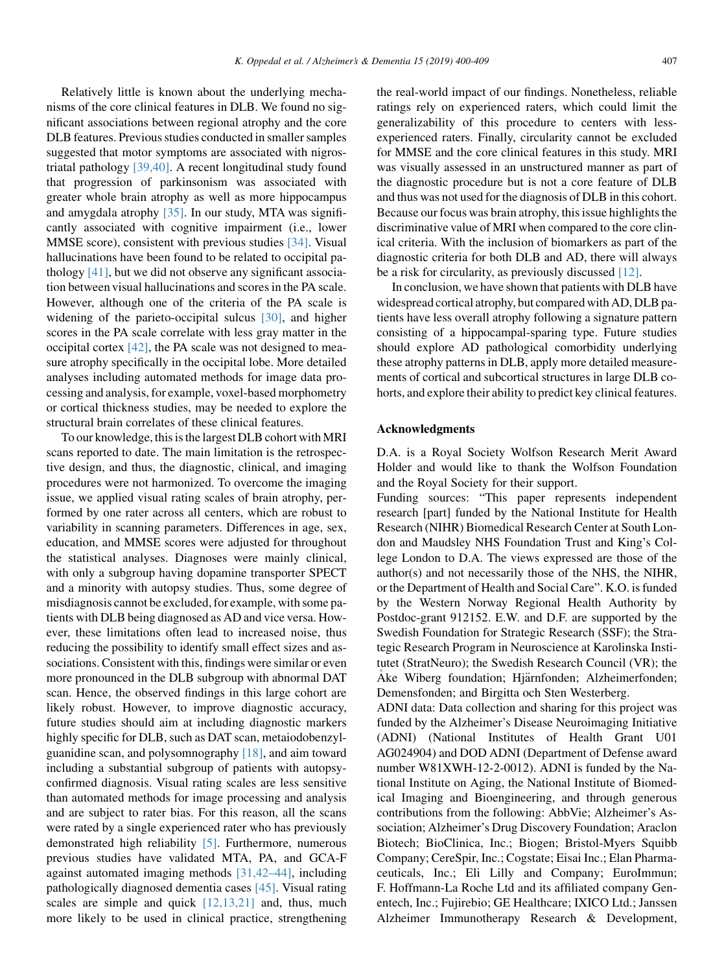Relatively little is known about the underlying mechanisms of the core clinical features in DLB. We found no significant associations between regional atrophy and the core DLB features. Previous studies conducted in smaller samples suggested that motor symptoms are associated with nigrostriatal pathology [\[39,40\].](#page-9-0) A recent longitudinal study found that progression of parkinsonism was associated with greater whole brain atrophy as well as more hippocampus and amygdala atrophy [\[35\]](#page-9-0). In our study, MTA was significantly associated with cognitive impairment (i.e., lower MMSE score), consistent with previous studies [\[34\]](#page-9-0). Visual hallucinations have been found to be related to occipital pathology [\[41\]](#page-9-0), but we did not observe any significant association between visual hallucinations and scores in the PA scale. However, although one of the criteria of the PA scale is widening of the parieto-occipital sulcus [\[30\],](#page-9-0) and higher scores in the PA scale correlate with less gray matter in the occipital cortex  $[42]$ , the PA scale was not designed to measure atrophy specifically in the occipital lobe. More detailed analyses including automated methods for image data processing and analysis, for example, voxel-based morphometry or cortical thickness studies, may be needed to explore the structural brain correlates of these clinical features.

To our knowledge, this is the largest DLB cohort with MRI scans reported to date. The main limitation is the retrospective design, and thus, the diagnostic, clinical, and imaging procedures were not harmonized. To overcome the imaging issue, we applied visual rating scales of brain atrophy, performed by one rater across all centers, which are robust to variability in scanning parameters. Differences in age, sex, education, and MMSE scores were adjusted for throughout the statistical analyses. Diagnoses were mainly clinical, with only a subgroup having dopamine transporter SPECT and a minority with autopsy studies. Thus, some degree of misdiagnosis cannot be excluded, for example, with some patients with DLB being diagnosed as AD and vice versa. However, these limitations often lead to increased noise, thus reducing the possibility to identify small effect sizes and associations. Consistent with this, findings were similar or even more pronounced in the DLB subgroup with abnormal DAT scan. Hence, the observed findings in this large cohort are likely robust. However, to improve diagnostic accuracy, future studies should aim at including diagnostic markers highly specific for DLB, such as DAT scan, metaiodobenzylguanidine scan, and polysomnography [\[18\]](#page-9-0), and aim toward including a substantial subgroup of patients with autopsyconfirmed diagnosis. Visual rating scales are less sensitive than automated methods for image processing and analysis and are subject to rater bias. For this reason, all the scans were rated by a single experienced rater who has previously demonstrated high reliability [\[5\].](#page-8-0) Furthermore, numerous previous studies have validated MTA, PA, and GCA-F against automated imaging methods [\[31,42–44\]](#page-9-0), including pathologically diagnosed dementia cases [\[45\].](#page-9-0) Visual rating scales are simple and quick [\[12,13,21\]](#page-8-0) and, thus, much more likely to be used in clinical practice, strengthening the real-world impact of our findings. Nonetheless, reliable ratings rely on experienced raters, which could limit the generalizability of this procedure to centers with lessexperienced raters. Finally, circularity cannot be excluded for MMSE and the core clinical features in this study. MRI was visually assessed in an unstructured manner as part of the diagnostic procedure but is not a core feature of DLB and thus was not used for the diagnosis of DLB in this cohort. Because our focus was brain atrophy, this issue highlights the discriminative value of MRI when compared to the core clinical criteria. With the inclusion of biomarkers as part of the diagnostic criteria for both DLB and AD, there will always be a risk for circularity, as previously discussed [\[12\].](#page-8-0)

In conclusion, we have shown that patients with DLB have widespread cortical atrophy, but compared with AD, DLB patients have less overall atrophy following a signature pattern consisting of a hippocampal-sparing type. Future studies should explore AD pathological comorbidity underlying these atrophy patterns in DLB, apply more detailed measurements of cortical and subcortical structures in large DLB cohorts, and explore their ability to predict key clinical features.

#### Acknowledgments

D.A. is a Royal Society Wolfson Research Merit Award Holder and would like to thank the Wolfson Foundation and the Royal Society for their support.

Funding sources: "This paper represents independent research [part] funded by the National Institute for Health Research (NIHR) Biomedical Research Center at South London and Maudsley NHS Foundation Trust and King's College London to D.A. The views expressed are those of the author(s) and not necessarily those of the NHS, the NIHR, or the Department of Health and Social Care". K.O. is funded by the Western Norway Regional Health Authority by Postdoc-grant 912152. E.W. and D.F. are supported by the Swedish Foundation for Strategic Research (SSF); the Strategic Research Program in Neuroscience at Karolinska Institutet (StratNeuro); the Swedish Research Council (VR); the Ake Wiberg foundation; Hjärnfonden; Alzheimerfonden; Demensfonden; and Birgitta och Sten Westerberg.

ADNI data: Data collection and sharing for this project was funded by the Alzheimer's Disease Neuroimaging Initiative (ADNI) (National Institutes of Health Grant U01 AG024904) and DOD ADNI (Department of Defense award number W81XWH-12-2-0012). ADNI is funded by the National Institute on Aging, the National Institute of Biomedical Imaging and Bioengineering, and through generous contributions from the following: AbbVie; Alzheimer's Association; Alzheimer's Drug Discovery Foundation; Araclon Biotech; BioClinica, Inc.; Biogen; Bristol-Myers Squibb Company; CereSpir, Inc.; Cogstate; Eisai Inc.; Elan Pharmaceuticals, Inc.; Eli Lilly and Company; EuroImmun; F. Hoffmann-La Roche Ltd and its affiliated company Genentech, Inc.; Fujirebio; GE Healthcare; IXICO Ltd.; Janssen Alzheimer Immunotherapy Research & Development,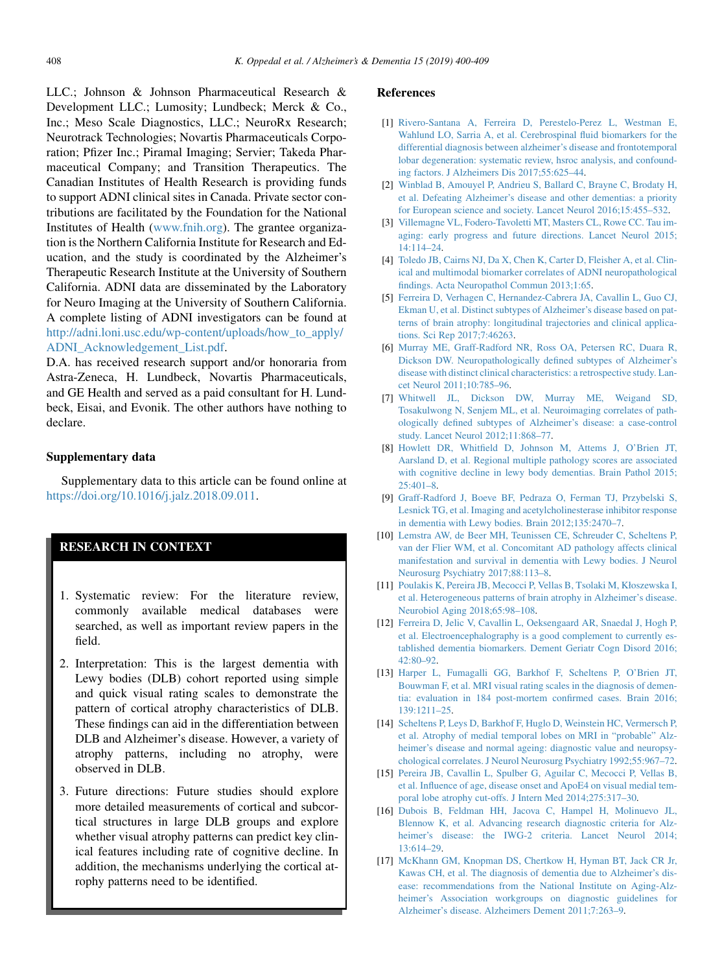<span id="page-8-0"></span>LLC.; Johnson & Johnson Pharmaceutical Research & Development LLC.; Lumosity; Lundbeck; Merck & Co., Inc.; Meso Scale Diagnostics, LLC.; NeuroRx Research; Neurotrack Technologies; Novartis Pharmaceuticals Corporation; Pfizer Inc.; Piramal Imaging; Servier; Takeda Pharmaceutical Company; and Transition Therapeutics. The Canadian Institutes of Health Research is providing funds to support ADNI clinical sites in Canada. Private sector contributions are facilitated by the Foundation for the National Institutes of Health [\(www.fnih.org](http://www.fnih.org)). The grantee organization is the Northern California Institute for Research and Education, and the study is coordinated by the Alzheimer's Therapeutic Research Institute at the University of Southern California. ADNI data are disseminated by the Laboratory for Neuro Imaging at the University of Southern California. A complete listing of ADNI investigators can be found at [http://adni.loni.usc.edu/wp-content/uploads/how\\_to\\_apply/](http://adni.loni.usc.edu/wp-content/uploads/how_to_apply/ADNI_Acknowledgement_List.pdf) [ADNI\\_Acknowledgement\\_List.pdf.](http://adni.loni.usc.edu/wp-content/uploads/how_to_apply/ADNI_Acknowledgement_List.pdf)

D.A. has received research support and/or honoraria from Astra-Zeneca, H. Lundbeck, Novartis Pharmaceuticals, and GE Health and served as a paid consultant for H. Lundbeck, Eisai, and Evonik. The other authors have nothing to declare.

# Supplementary data

Supplementary data to this article can be found online at [https://doi.org/10.1016/j.jalz.2018.09.011.](https://doi.org/10.1016/j.jalz.2018.09.011)

# RESEARCH IN CONTEXT

- 1. Systematic review: For the literature review, commonly available medical databases were searched, as well as important review papers in the field.
- 2. Interpretation: This is the largest dementia with Lewy bodies (DLB) cohort reported using simple and quick visual rating scales to demonstrate the pattern of cortical atrophy characteristics of DLB. These findings can aid in the differentiation between DLB and Alzheimer's disease. However, a variety of atrophy patterns, including no atrophy, were observed in DLB.
- 3. Future directions: Future studies should explore more detailed measurements of cortical and subcortical structures in large DLB groups and explore whether visual atrophy patterns can predict key clinical features including rate of cognitive decline. In addition, the mechanisms underlying the cortical atrophy patterns need to be identified.

## References

- [1] [Rivero-Santana A, Ferreira D, Perestelo-Perez L, Westman E,](http://refhub.elsevier.com/S1552-5260(18)33564-7/sref1) [Wahlund LO, Sarria A, et al. Cerebrospinal fluid biomarkers for the](http://refhub.elsevier.com/S1552-5260(18)33564-7/sref1) [differential diagnosis between alzheimer's disease and frontotemporal](http://refhub.elsevier.com/S1552-5260(18)33564-7/sref1) [lobar degeneration: systematic review, hsroc analysis, and confound](http://refhub.elsevier.com/S1552-5260(18)33564-7/sref1)[ing factors. J Alzheimers Dis 2017;55:625–44.](http://refhub.elsevier.com/S1552-5260(18)33564-7/sref1)
- [2] [Winblad B, Amouyel P, Andrieu S, Ballard C, Brayne C, Brodaty H,](http://refhub.elsevier.com/S1552-5260(18)33564-7/sref2) [et al. Defeating Alzheimer's disease and other dementias: a priority](http://refhub.elsevier.com/S1552-5260(18)33564-7/sref2) [for European science and society. Lancet Neurol 2016;15:455–532.](http://refhub.elsevier.com/S1552-5260(18)33564-7/sref2)
- [3] [Villemagne VL, Fodero-Tavoletti MT, Masters CL, Rowe CC. Tau im](http://refhub.elsevier.com/S1552-5260(18)33564-7/sref3)[aging: early progress and future directions. Lancet Neurol 2015;](http://refhub.elsevier.com/S1552-5260(18)33564-7/sref3) [14:114–24](http://refhub.elsevier.com/S1552-5260(18)33564-7/sref3).
- [4] [Toledo JB, Cairns NJ, Da X, Chen K, Carter D, Fleisher A, et al. Clin](http://refhub.elsevier.com/S1552-5260(18)33564-7/sref4)[ical and multimodal biomarker correlates of ADNI neuropathological](http://refhub.elsevier.com/S1552-5260(18)33564-7/sref4) [findings. Acta Neuropathol Commun 2013;1:65](http://refhub.elsevier.com/S1552-5260(18)33564-7/sref4).
- [5] [Ferreira D, Verhagen C, Hernandez-Cabrera JA, Cavallin L, Guo CJ,](http://refhub.elsevier.com/S1552-5260(18)33564-7/sref5) [Ekman U, et al. Distinct subtypes of Alzheimer's disease based on pat](http://refhub.elsevier.com/S1552-5260(18)33564-7/sref5)[terns of brain atrophy: longitudinal trajectories and clinical applica](http://refhub.elsevier.com/S1552-5260(18)33564-7/sref5)[tions. Sci Rep 2017;7:46263.](http://refhub.elsevier.com/S1552-5260(18)33564-7/sref5)
- [6] [Murray ME, Graff-Radford NR, Ross OA, Petersen RC, Duara R,](http://refhub.elsevier.com/S1552-5260(18)33564-7/sref6) [Dickson DW. Neuropathologically defined subtypes of Alzheimer's](http://refhub.elsevier.com/S1552-5260(18)33564-7/sref6) [disease with distinct clinical characteristics: a retrospective study. Lan](http://refhub.elsevier.com/S1552-5260(18)33564-7/sref6)[cet Neurol 2011;10:785–96](http://refhub.elsevier.com/S1552-5260(18)33564-7/sref6).
- [7] [Whitwell JL, Dickson DW, Murray ME, Weigand SD,](http://refhub.elsevier.com/S1552-5260(18)33564-7/sref7) [Tosakulwong N, Senjem ML, et al. Neuroimaging correlates of path](http://refhub.elsevier.com/S1552-5260(18)33564-7/sref7)[ologically defined subtypes of Alzheimer's disease: a case-control](http://refhub.elsevier.com/S1552-5260(18)33564-7/sref7) [study. Lancet Neurol 2012;11:868–77.](http://refhub.elsevier.com/S1552-5260(18)33564-7/sref7)
- [8] [Howlett DR, Whitfield D, Johnson M, Attems J, O'Brien JT,](http://refhub.elsevier.com/S1552-5260(18)33564-7/sref8) [Aarsland D, et al. Regional multiple pathology scores are associated](http://refhub.elsevier.com/S1552-5260(18)33564-7/sref8) [with cognitive decline in lewy body dementias. Brain Pathol 2015;](http://refhub.elsevier.com/S1552-5260(18)33564-7/sref8) [25:401–8](http://refhub.elsevier.com/S1552-5260(18)33564-7/sref8).
- [9] [Graff-Radford J, Boeve BF, Pedraza O, Ferman TJ, Przybelski S,](http://refhub.elsevier.com/S1552-5260(18)33564-7/sref9) [Lesnick TG, et al. Imaging and acetylcholinesterase inhibitor response](http://refhub.elsevier.com/S1552-5260(18)33564-7/sref9) [in dementia with Lewy bodies. Brain 2012;135:2470–7.](http://refhub.elsevier.com/S1552-5260(18)33564-7/sref9)
- [10] [Lemstra AW, de Beer MH, Teunissen CE, Schreuder C, Scheltens P,](http://refhub.elsevier.com/S1552-5260(18)33564-7/sref10) [van der Flier WM, et al. Concomitant AD pathology affects clinical](http://refhub.elsevier.com/S1552-5260(18)33564-7/sref10) [manifestation and survival in dementia with Lewy bodies. J Neurol](http://refhub.elsevier.com/S1552-5260(18)33564-7/sref10) [Neurosurg Psychiatry 2017;88:113–8.](http://refhub.elsevier.com/S1552-5260(18)33564-7/sref10)
- [11] [Poulakis K, Pereira JB, Mecocci P, Vellas B, Tsolaki M, K](http://refhub.elsevier.com/S1552-5260(18)33564-7/sref11)1[oszewska I,](http://refhub.elsevier.com/S1552-5260(18)33564-7/sref11) [et al. Heterogeneous patterns of brain atrophy in Alzheimer's disease.](http://refhub.elsevier.com/S1552-5260(18)33564-7/sref11) [Neurobiol Aging 2018;65:98–108.](http://refhub.elsevier.com/S1552-5260(18)33564-7/sref11)
- [12] [Ferreira D, Jelic V, Cavallin L, Oeksengaard AR, Snaedal J, Hogh P,](http://refhub.elsevier.com/S1552-5260(18)33564-7/sref12) [et al. Electroencephalography is a good complement to currently es](http://refhub.elsevier.com/S1552-5260(18)33564-7/sref12)[tablished dementia biomarkers. Dement Geriatr Cogn Disord 2016;](http://refhub.elsevier.com/S1552-5260(18)33564-7/sref12) [42:80–92](http://refhub.elsevier.com/S1552-5260(18)33564-7/sref12).
- [13] [Harper L, Fumagalli GG, Barkhof F, Scheltens P, O'Brien JT,](http://refhub.elsevier.com/S1552-5260(18)33564-7/sref13) [Bouwman F, et al. MRI visual rating scales in the diagnosis of demen](http://refhub.elsevier.com/S1552-5260(18)33564-7/sref13)[tia: evaluation in 184 post-mortem confirmed cases. Brain 2016;](http://refhub.elsevier.com/S1552-5260(18)33564-7/sref13) [139:1211–25](http://refhub.elsevier.com/S1552-5260(18)33564-7/sref13).
- [14] [Scheltens P, Leys D, Barkhof F, Huglo D, Weinstein HC, Vermersch P,](http://refhub.elsevier.com/S1552-5260(18)33564-7/sref14) [et al. Atrophy of medial temporal lobes on MRI in "probable" Alz](http://refhub.elsevier.com/S1552-5260(18)33564-7/sref14)[heimer's disease and normal ageing: diagnostic value and neuropsy](http://refhub.elsevier.com/S1552-5260(18)33564-7/sref14)[chological correlates. J Neurol Neurosurg Psychiatry 1992;55:967–72](http://refhub.elsevier.com/S1552-5260(18)33564-7/sref14).
- [15] [Pereira JB, Cavallin L, Spulber G, Aguilar C, Mecocci P, Vellas B,](http://refhub.elsevier.com/S1552-5260(18)33564-7/sref15) [et al. Influence of age, disease onset and ApoE4 on visual medial tem](http://refhub.elsevier.com/S1552-5260(18)33564-7/sref15)[poral lobe atrophy cut-offs. J Intern Med 2014;275:317–30.](http://refhub.elsevier.com/S1552-5260(18)33564-7/sref15)
- [16] [Dubois B, Feldman HH, Jacova C, Hampel H, Molinuevo JL,](http://refhub.elsevier.com/S1552-5260(18)33564-7/sref16) [Blennow K, et al. Advancing research diagnostic criteria for Alz](http://refhub.elsevier.com/S1552-5260(18)33564-7/sref16)[heimer's disease: the IWG-2 criteria. Lancet Neurol 2014;](http://refhub.elsevier.com/S1552-5260(18)33564-7/sref16) [13:614–29](http://refhub.elsevier.com/S1552-5260(18)33564-7/sref16).
- [17] [McKhann GM, Knopman DS, Chertkow H, Hyman BT, Jack CR Jr,](http://refhub.elsevier.com/S1552-5260(18)33564-7/sref17) [Kawas CH, et al. The diagnosis of dementia due to Alzheimer's dis](http://refhub.elsevier.com/S1552-5260(18)33564-7/sref17)[ease: recommendations from the National Institute on Aging-Alz](http://refhub.elsevier.com/S1552-5260(18)33564-7/sref17)[heimer's Association workgroups on diagnostic guidelines for](http://refhub.elsevier.com/S1552-5260(18)33564-7/sref17) [Alzheimer's disease. Alzheimers Dement 2011;7:263–9](http://refhub.elsevier.com/S1552-5260(18)33564-7/sref17).